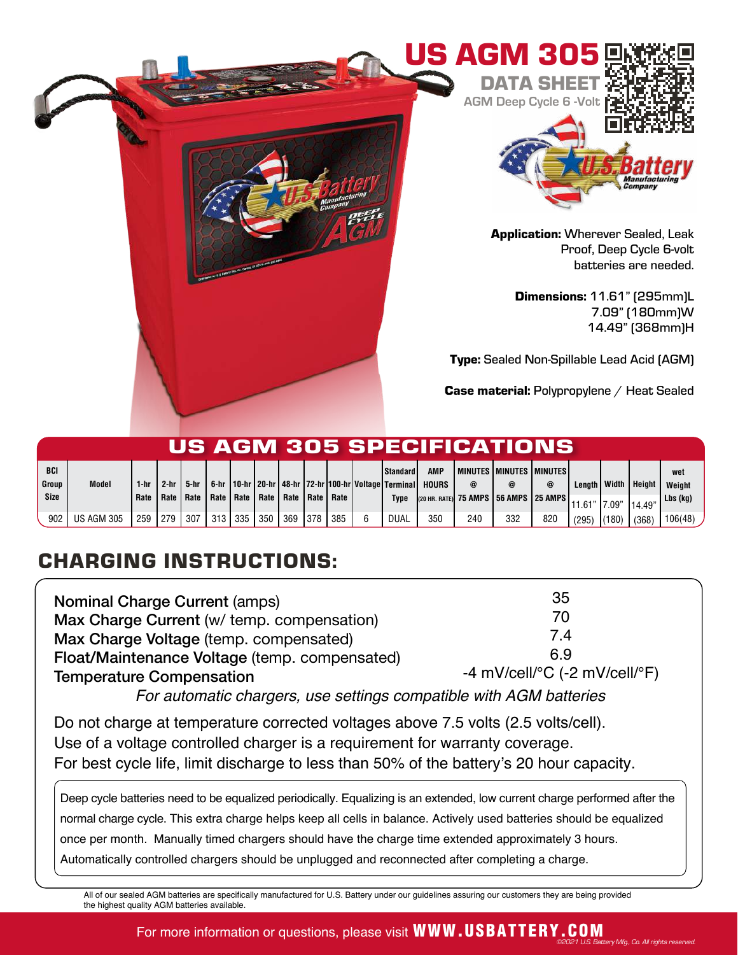

| US AGM 305 SPECIFICATIONS |                   |      |        |        |     |     |                                                       |     |     |     |  |                                                                                         |                     |     |                                       |            |               |       |               |               |
|---------------------------|-------------------|------|--------|--------|-----|-----|-------------------------------------------------------|-----|-----|-----|--|-----------------------------------------------------------------------------------------|---------------------|-----|---------------------------------------|------------|---------------|-------|---------------|---------------|
| BCI<br>Group              | <b>Model</b>      | 1-hr | $2-hr$ | 5-hr I |     |     |                                                       |     |     |     |  | <b>Standard</b><br>. 6-hr   10-hr   20-hr   48-hr   72-hr   100-hr   Voltage   Terminal | AMP<br><b>HOURS</b> | @   | l minutes i minutes i minutes i       | $^{\circ}$ | Length Width  |       | <b>Height</b> | wet<br>Weight |
| <b>Size</b>               |                   | Rate |        |        |     |     | Rate   Rate   Rate   Rate   Rate   Rate   Rate   Rate |     |     |     |  | <b>Type</b>                                                                             |                     |     | (20 HR. RATE) 75 AMPS 56 AMPS 25 AMPS |            | 11.61"  7.09" |       | 14.49         | Lbs (kg)      |
| 902                       | <b>US AGM 305</b> | 259  | 279    | 307    | 313 | 335 | 350                                                   | 369 | 378 | 385 |  | <b>DUAL</b>                                                                             | 350                 | 240 | 332                                   | 820        | (295)         | (180) | (368)         | 106(48)       |

## CHARGING INSTRUCTIONS:

| <b>Nominal Charge Current (amps)</b>                                      | 35                                                      |  |  |  |  |
|---------------------------------------------------------------------------|---------------------------------------------------------|--|--|--|--|
| Max Charge Current (w/ temp. compensation)                                | 70                                                      |  |  |  |  |
| Max Charge Voltage (temp. compensated)                                    | 7.4                                                     |  |  |  |  |
| Float/Maintenance Voltage (temp. compensated)                             | 6.9                                                     |  |  |  |  |
| <b>Temperature Compensation</b>                                           | -4 mV/cell/ ${}^{\circ}$ C (-2 mV/cell/ ${}^{\circ}$ F) |  |  |  |  |
| $\Gamma$ ar automotio abaracra uno sottingo compotible ujib ACM bottorios |                                                         |  |  |  |  |

For automatic chargers, use settings compatible with AGM batteries

Do not charge at temperature corrected voltages above 7.5 volts (2.5 volts/cell). Use of a voltage controlled charger is a requirement for warranty coverage. For best cycle life, limit discharge to less than 50% of the battery's 20 hour capacity.

Deep cycle batteries need to be equalized periodically. Equalizing is an extended, low current charge performed after the normal charge cycle. This extra charge helps keep all cells in balance. Actively used batteries should be equalized once per month. Manually timed chargers should have the charge time extended approximately 3 hours. Automatically controlled chargers should be unplugged and reconnected after completing a charge.

All of our sealed AGM batteries are specifically manufactured for U.S. Battery under our guidelines assuring our customers they are being provided the highest quality AGM batteries available.

## For more information or questions, please visit WWW.USBATTERY.COM ©2021 U.S. Battery Mfg., Co. All rights reserved.